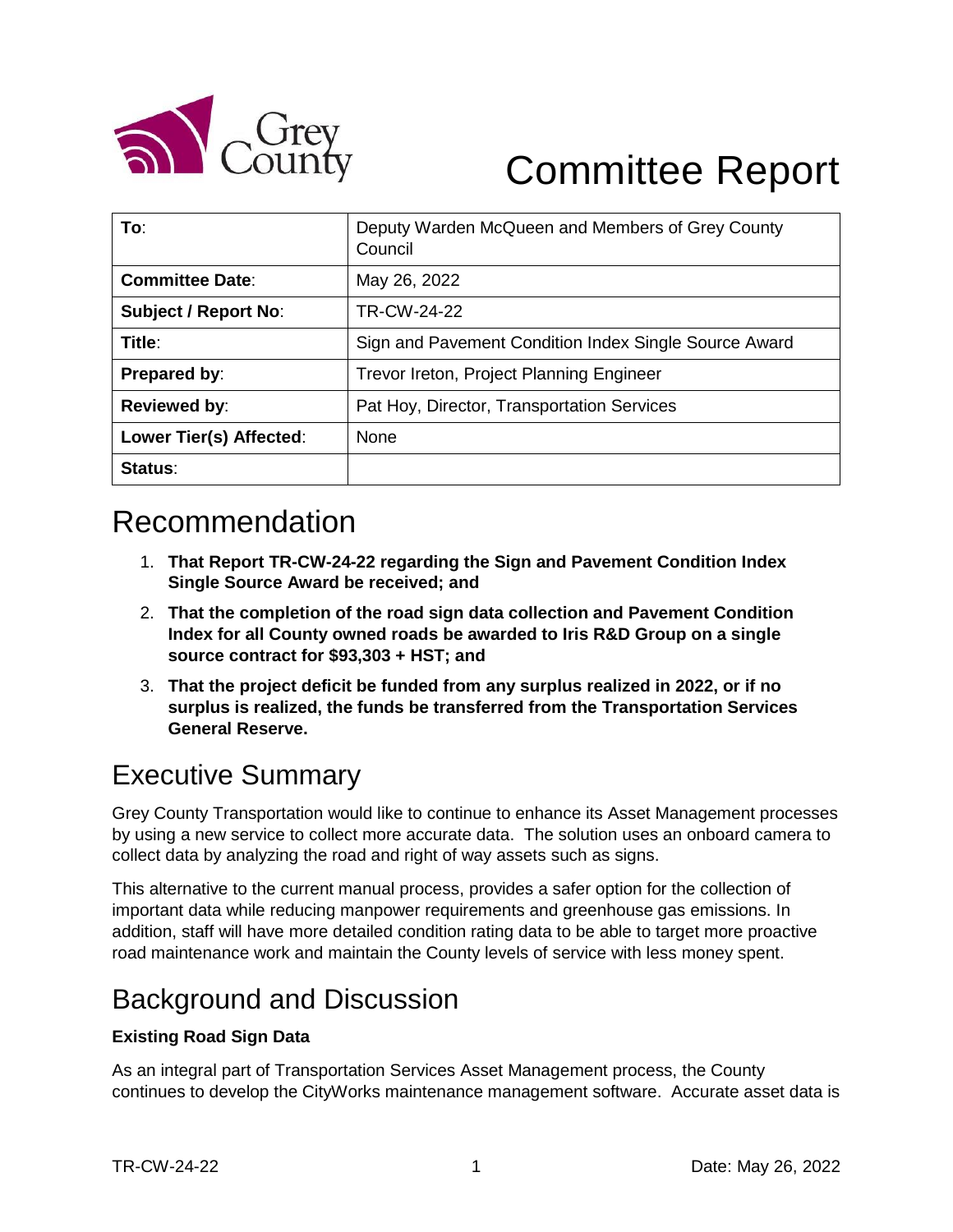

# Committee Report

| To:                         | Deputy Warden McQueen and Members of Grey County<br>Council |  |
|-----------------------------|-------------------------------------------------------------|--|
| <b>Committee Date:</b>      | May 26, 2022                                                |  |
| <b>Subject / Report No:</b> | TR-CW-24-22                                                 |  |
| Title:                      | Sign and Pavement Condition Index Single Source Award       |  |
| Prepared by:                | Trevor Ireton, Project Planning Engineer                    |  |
| <b>Reviewed by:</b>         | Pat Hoy, Director, Transportation Services                  |  |
| Lower Tier(s) Affected:     | <b>None</b>                                                 |  |
| Status:                     |                                                             |  |

### Recommendation

- 1. **That Report TR-CW-24-22 regarding the Sign and Pavement Condition Index Single Source Award be received; and**
- 2. **That the completion of the road sign data collection and Pavement Condition Index for all County owned roads be awarded to Iris R&D Group on a single source contract for \$93,303 + HST; and**
- 3. **That the project deficit be funded from any surplus realized in 2022, or if no surplus is realized, the funds be transferred from the Transportation Services General Reserve.**

### Executive Summary

Grey County Transportation would like to continue to enhance its Asset Management processes by using a new service to collect more accurate data. The solution uses an onboard camera to collect data by analyzing the road and right of way assets such as signs.

This alternative to the current manual process, provides a safer option for the collection of important data while reducing manpower requirements and greenhouse gas emissions. In addition, staff will have more detailed condition rating data to be able to target more proactive road maintenance work and maintain the County levels of service with less money spent.

### Background and Discussion

#### **Existing Road Sign Data**

As an integral part of Transportation Services Asset Management process, the County continues to develop the CityWorks maintenance management software. Accurate asset data is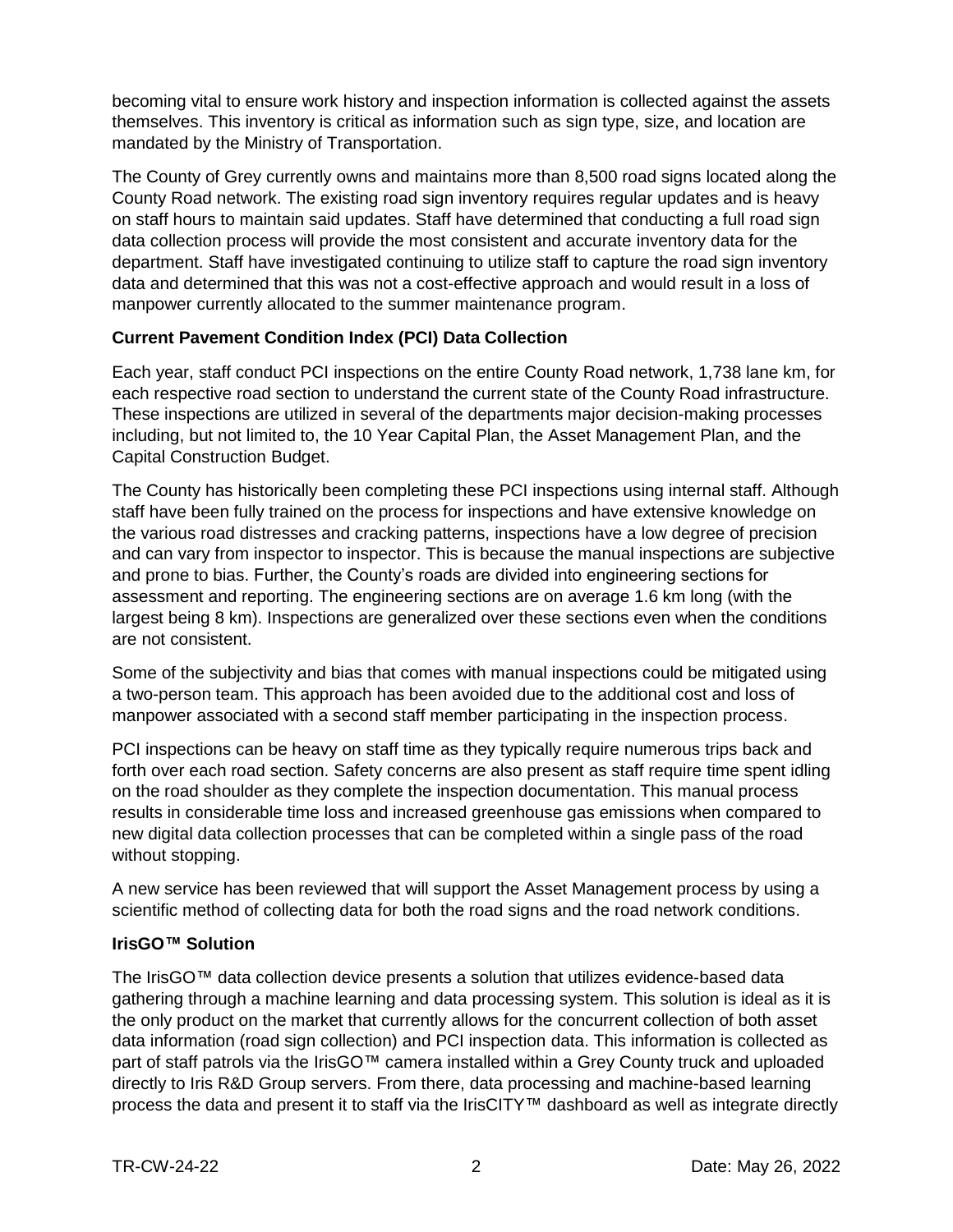becoming vital to ensure work history and inspection information is collected against the assets themselves. This inventory is critical as information such as sign type, size, and location are mandated by the Ministry of Transportation.

The County of Grey currently owns and maintains more than 8,500 road signs located along the County Road network. The existing road sign inventory requires regular updates and is heavy on staff hours to maintain said updates. Staff have determined that conducting a full road sign data collection process will provide the most consistent and accurate inventory data for the department. Staff have investigated continuing to utilize staff to capture the road sign inventory data and determined that this was not a cost-effective approach and would result in a loss of manpower currently allocated to the summer maintenance program.

#### **Current Pavement Condition Index (PCI) Data Collection**

Each year, staff conduct PCI inspections on the entire County Road network, 1,738 lane km, for each respective road section to understand the current state of the County Road infrastructure. These inspections are utilized in several of the departments major decision-making processes including, but not limited to, the 10 Year Capital Plan, the Asset Management Plan, and the Capital Construction Budget.

The County has historically been completing these PCI inspections using internal staff. Although staff have been fully trained on the process for inspections and have extensive knowledge on the various road distresses and cracking patterns, inspections have a low degree of precision and can vary from inspector to inspector. This is because the manual inspections are subjective and prone to bias. Further, the County's roads are divided into engineering sections for assessment and reporting. The engineering sections are on average 1.6 km long (with the largest being 8 km). Inspections are generalized over these sections even when the conditions are not consistent.

Some of the subjectivity and bias that comes with manual inspections could be mitigated using a two-person team. This approach has been avoided due to the additional cost and loss of manpower associated with a second staff member participating in the inspection process.

PCI inspections can be heavy on staff time as they typically require numerous trips back and forth over each road section. Safety concerns are also present as staff require time spent idling on the road shoulder as they complete the inspection documentation. This manual process results in considerable time loss and increased greenhouse gas emissions when compared to new digital data collection processes that can be completed within a single pass of the road without stopping.

A new service has been reviewed that will support the Asset Management process by using a scientific method of collecting data for both the road signs and the road network conditions.

#### **IrisGO™ Solution**

The IrisGO™ data collection device presents a solution that utilizes evidence-based data gathering through a machine learning and data processing system. This solution is ideal as it is the only product on the market that currently allows for the concurrent collection of both asset data information (road sign collection) and PCI inspection data. This information is collected as part of staff patrols via the IrisGO™ camera installed within a Grey County truck and uploaded directly to Iris R&D Group servers. From there, data processing and machine-based learning process the data and present it to staff via the IrisCITY™ dashboard as well as integrate directly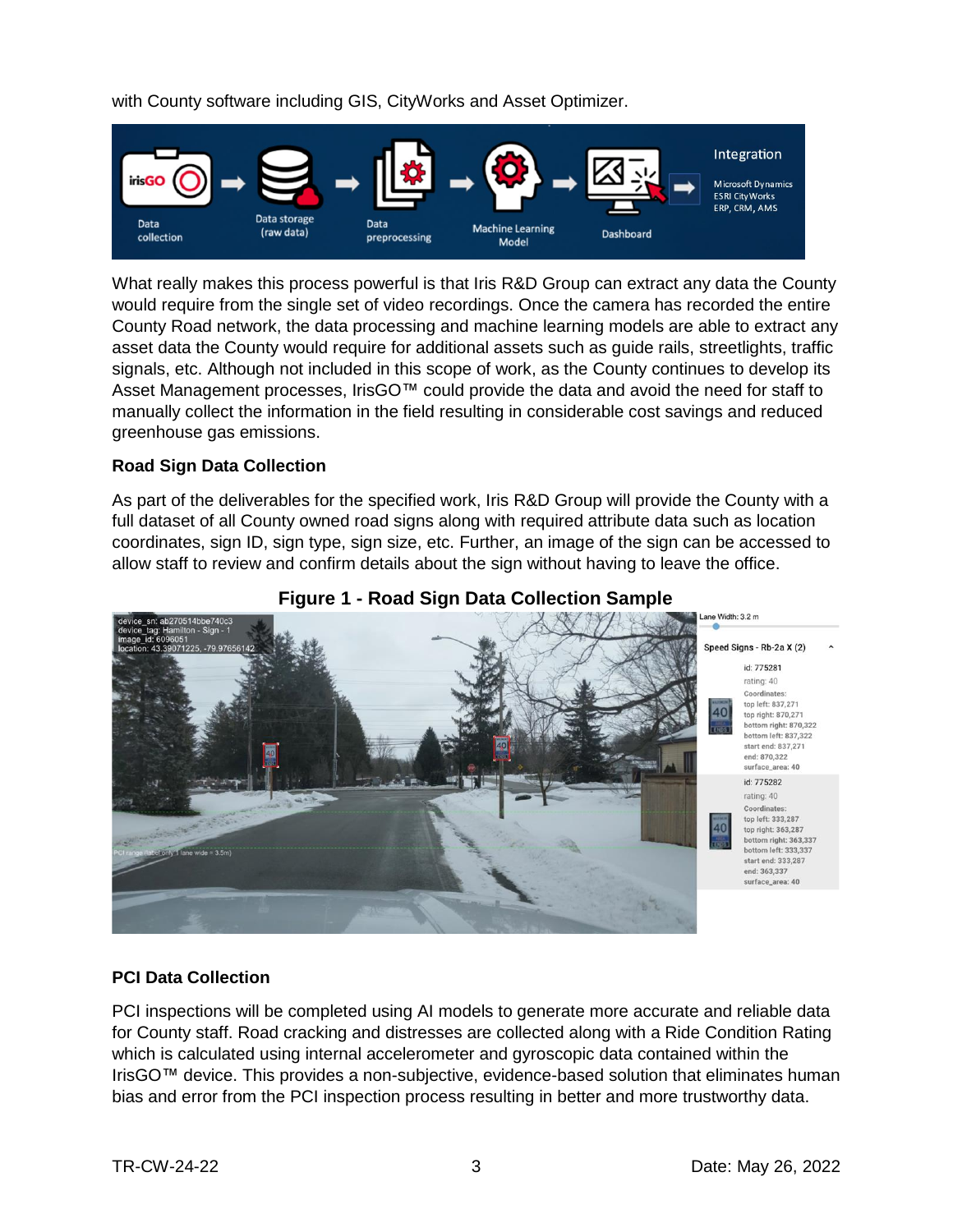with County software including GIS, CityWorks and Asset Optimizer.



What really makes this process powerful is that Iris R&D Group can extract any data the County would require from the single set of video recordings. Once the camera has recorded the entire County Road network, the data processing and machine learning models are able to extract any asset data the County would require for additional assets such as guide rails, streetlights, traffic signals, etc. Although not included in this scope of work, as the County continues to develop its Asset Management processes, IrisGO™ could provide the data and avoid the need for staff to manually collect the information in the field resulting in considerable cost savings and reduced greenhouse gas emissions.

#### **Road Sign Data Collection**

As part of the deliverables for the specified work, Iris R&D Group will provide the County with a full dataset of all County owned road signs along with required attribute data such as location coordinates, sign ID, sign type, sign size, etc. Further, an image of the sign can be accessed to allow staff to review and confirm details about the sign without having to leave the office.



#### **Figure 1 - Road Sign Data Collection Sample**

#### **PCI Data Collection**

PCI inspections will be completed using AI models to generate more accurate and reliable data for County staff. Road cracking and distresses are collected along with a Ride Condition Rating which is calculated using internal accelerometer and gyroscopic data contained within the IrisGO™ device. This provides a non-subjective, evidence-based solution that eliminates human bias and error from the PCI inspection process resulting in better and more trustworthy data.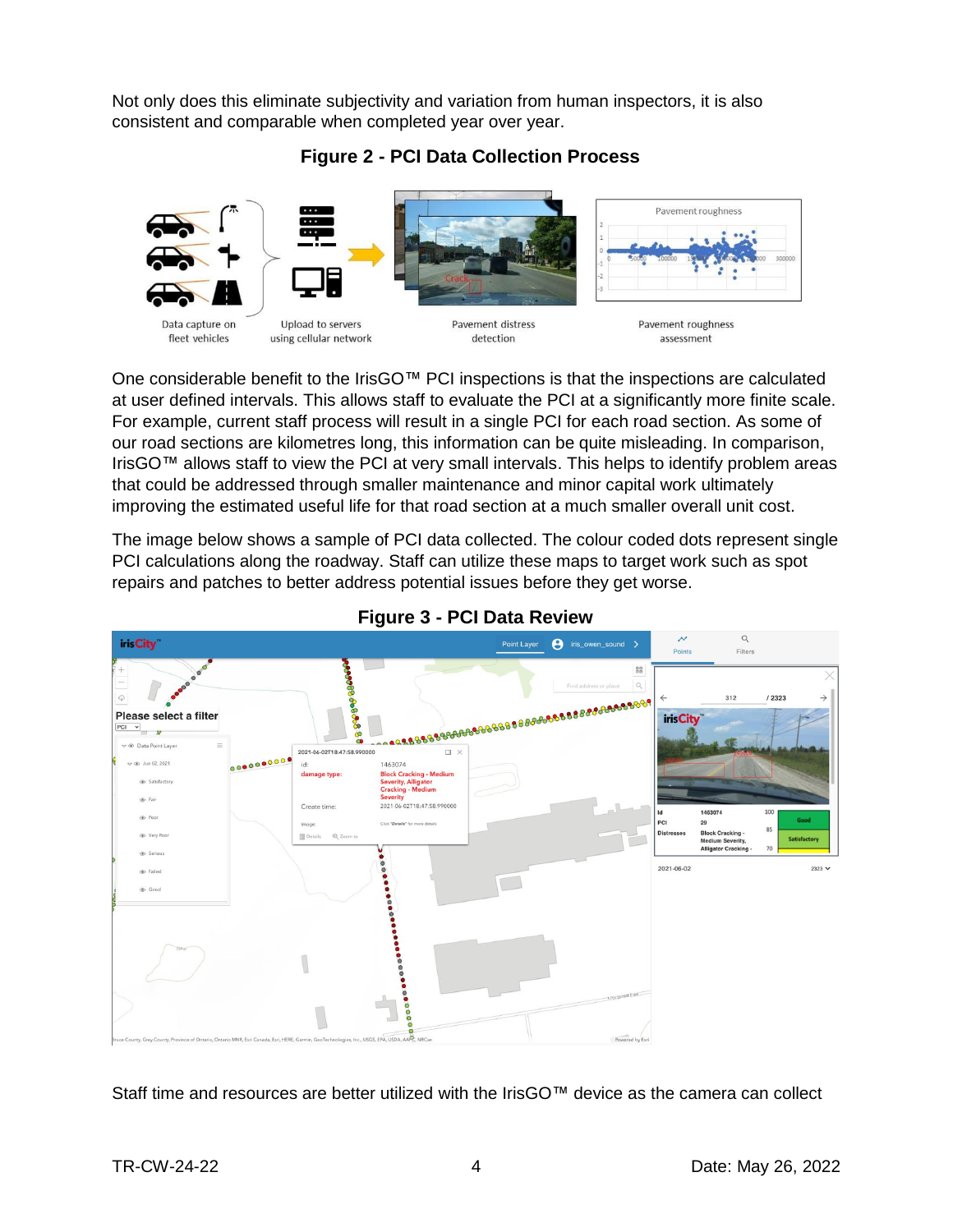Not only does this eliminate subjectivity and variation from human inspectors, it is also consistent and comparable when completed year over year.

**Figure 2 - PCI Data Collection Process**



Data capture on fleet vehicles

Upload to servers using cellular network

Pavement distress detection



One considerable benefit to the IrisGO™ PCI inspections is that the inspections are calculated at user defined intervals. This allows staff to evaluate the PCI at a significantly more finite scale. For example, current staff process will result in a single PCI for each road section. As some of our road sections are kilometres long, this information can be quite misleading. In comparison, IrisGO™ allows staff to view the PCI at very small intervals. This helps to identify problem areas that could be addressed through smaller maintenance and minor capital work ultimately improving the estimated useful life for that road section at a much smaller overall unit cost.

The image below shows a sample of PCI data collected. The colour coded dots represent single PCI calculations along the roadway. Staff can utilize these maps to target work such as spot repairs and patches to better address potential issues before they get worse.



#### **Figure 3 - PCI Data Review**

Staff time and resources are better utilized with the IrisGO™ device as the camera can collect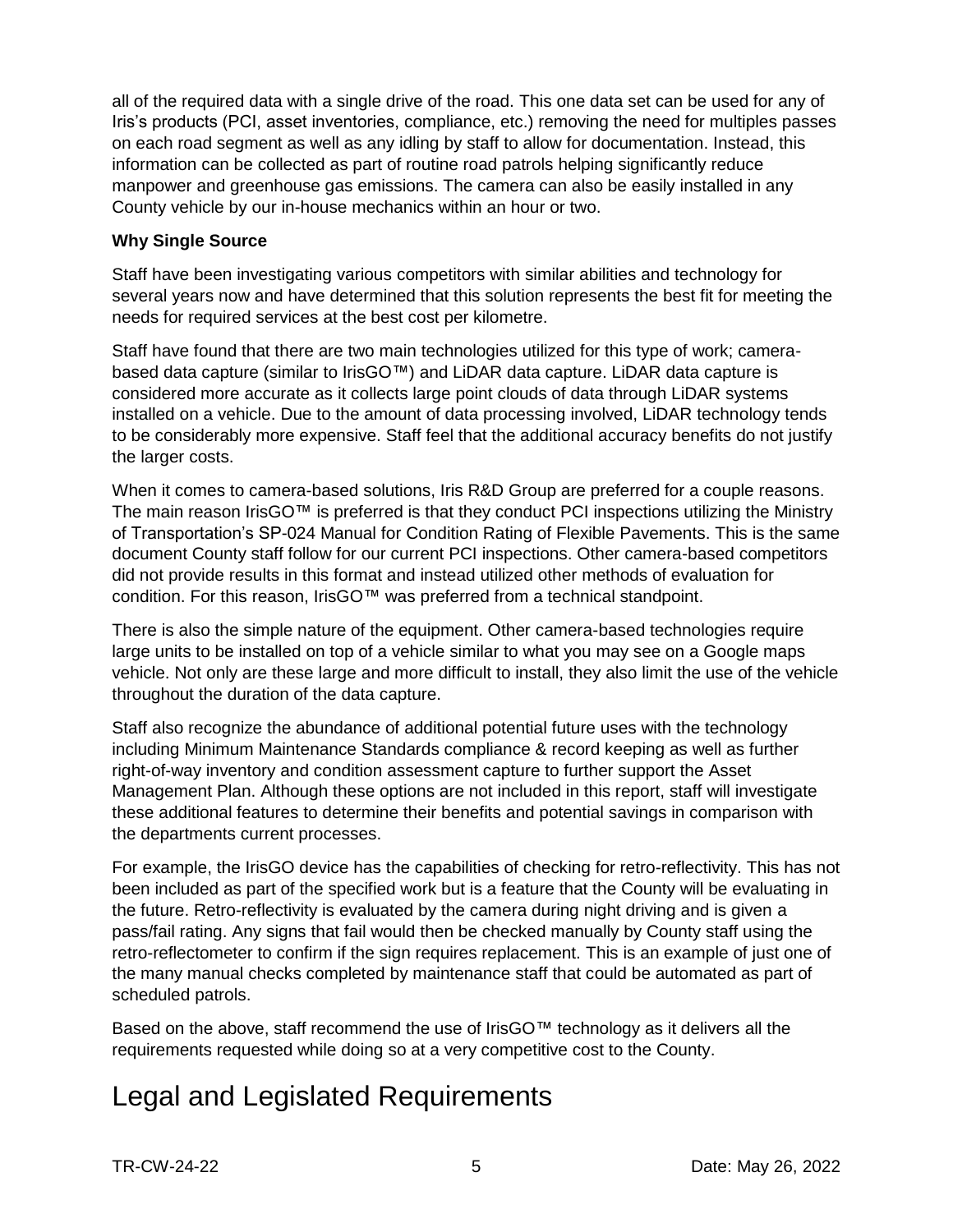all of the required data with a single drive of the road. This one data set can be used for any of Iris's products (PCI, asset inventories, compliance, etc.) removing the need for multiples passes on each road segment as well as any idling by staff to allow for documentation. Instead, this information can be collected as part of routine road patrols helping significantly reduce manpower and greenhouse gas emissions. The camera can also be easily installed in any County vehicle by our in-house mechanics within an hour or two.

#### **Why Single Source**

Staff have been investigating various competitors with similar abilities and technology for several years now and have determined that this solution represents the best fit for meeting the needs for required services at the best cost per kilometre.

Staff have found that there are two main technologies utilized for this type of work; camerabased data capture (similar to IrisGO™) and LiDAR data capture. LiDAR data capture is considered more accurate as it collects large point clouds of data through LiDAR systems installed on a vehicle. Due to the amount of data processing involved, LiDAR technology tends to be considerably more expensive. Staff feel that the additional accuracy benefits do not justify the larger costs.

When it comes to camera-based solutions, Iris R&D Group are preferred for a couple reasons. The main reason IrisGO<sup>™</sup> is preferred is that they conduct PCI inspections utilizing the Ministry of Transportation's SP-024 Manual for Condition Rating of Flexible Pavements. This is the same document County staff follow for our current PCI inspections. Other camera-based competitors did not provide results in this format and instead utilized other methods of evaluation for condition. For this reason, IrisGO™ was preferred from a technical standpoint.

There is also the simple nature of the equipment. Other camera-based technologies require large units to be installed on top of a vehicle similar to what you may see on a Google maps vehicle. Not only are these large and more difficult to install, they also limit the use of the vehicle throughout the duration of the data capture.

Staff also recognize the abundance of additional potential future uses with the technology including Minimum Maintenance Standards compliance & record keeping as well as further right-of-way inventory and condition assessment capture to further support the Asset Management Plan. Although these options are not included in this report, staff will investigate these additional features to determine their benefits and potential savings in comparison with the departments current processes.

For example, the IrisGO device has the capabilities of checking for retro-reflectivity. This has not been included as part of the specified work but is a feature that the County will be evaluating in the future. Retro-reflectivity is evaluated by the camera during night driving and is given a pass/fail rating. Any signs that fail would then be checked manually by County staff using the retro-reflectometer to confirm if the sign requires replacement. This is an example of just one of the many manual checks completed by maintenance staff that could be automated as part of scheduled patrols.

Based on the above, staff recommend the use of IrisGO™ technology as it delivers all the requirements requested while doing so at a very competitive cost to the County.

### Legal and Legislated Requirements